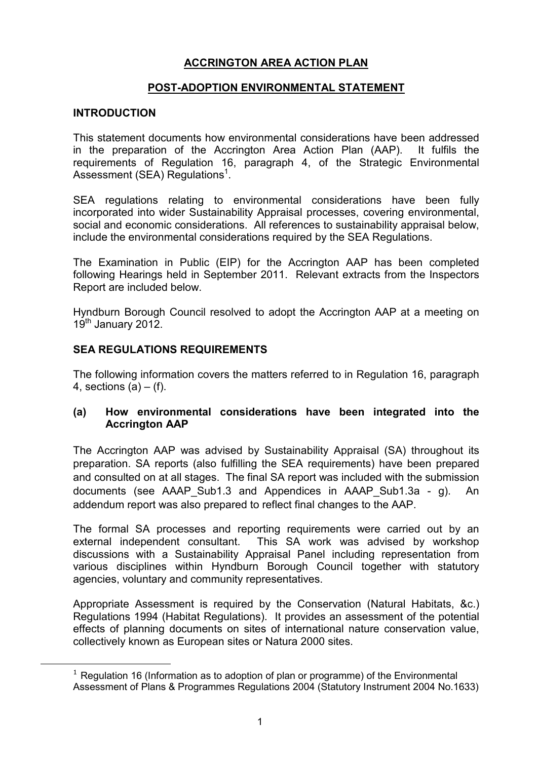# ACCRINGTON AREA ACTION PLAN

# POST-ADOPTION ENVIRONMENTAL STATEMENT

## INTRODUCTION

l,

This statement documents how environmental considerations have been addressed in the preparation of the Accrington Area Action Plan (AAP). It fulfils the requirements of Regulation 16, paragraph 4, of the Strategic Environmental Assessment (SEA) Regulations<sup>1</sup>.

SEA regulations relating to environmental considerations have been fully incorporated into wider Sustainability Appraisal processes, covering environmental, social and economic considerations. All references to sustainability appraisal below, include the environmental considerations required by the SEA Regulations.

The Examination in Public (EIP) for the Accrington AAP has been completed following Hearings held in September 2011. Relevant extracts from the Inspectors Report are included below.

Hyndburn Borough Council resolved to adopt the Accrington AAP at a meeting on 19<sup>th</sup> January 2012.

## SEA REGULATIONS REQUIREMENTS

The following information covers the matters referred to in Regulation 16, paragraph 4, sections  $(a) - (f)$ .

### (a) How environmental considerations have been integrated into the Accrington AAP

The Accrington AAP was advised by Sustainability Appraisal (SA) throughout its preparation. SA reports (also fulfilling the SEA requirements) have been prepared and consulted on at all stages. The final SA report was included with the submission documents (see AAAP\_Sub1.3 and Appendices in AAAP\_Sub1.3a - g). An addendum report was also prepared to reflect final changes to the AAP.

The formal SA processes and reporting requirements were carried out by an external independent consultant. This SA work was advised by workshop discussions with a Sustainability Appraisal Panel including representation from various disciplines within Hyndburn Borough Council together with statutory agencies, voluntary and community representatives.

Appropriate Assessment is required by the Conservation (Natural Habitats, &c.) Regulations 1994 (Habitat Regulations). It provides an assessment of the potential effects of planning documents on sites of international nature conservation value, collectively known as European sites or Natura 2000 sites.

 $1$  Regulation 16 (Information as to adoption of plan or programme) of the Environmental Assessment of Plans & Programmes Regulations 2004 (Statutory Instrument 2004 No.1633)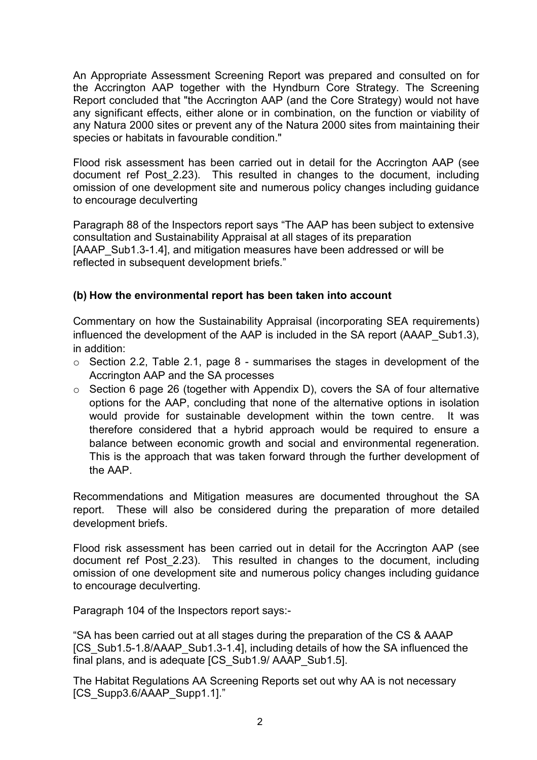An Appropriate Assessment Screening Report was prepared and consulted on for the Accrington AAP together with the Hyndburn Core Strategy. The Screening Report concluded that "the Accrington AAP (and the Core Strategy) would not have any significant effects, either alone or in combination, on the function or viability of any Natura 2000 sites or prevent any of the Natura 2000 sites from maintaining their species or habitats in favourable condition."

Flood risk assessment has been carried out in detail for the Accrington AAP (see document ref Post\_2.23). This resulted in changes to the document, including omission of one development site and numerous policy changes including guidance to encourage deculverting

Paragraph 88 of the Inspectors report says "The AAP has been subject to extensive consultation and Sustainability Appraisal at all stages of its preparation [AAAP\_Sub1.3-1.4], and mitigation measures have been addressed or will be reflected in subsequent development briefs."

# (b) How the environmental report has been taken into account

Commentary on how the Sustainability Appraisal (incorporating SEA requirements) influenced the development of the AAP is included in the SA report (AAAP\_Sub1.3), in addition:

- $\circ$  Section 2.2, Table 2.1, page 8 summarises the stages in development of the Accrington AAP and the SA processes
- o Section 6 page 26 (together with Appendix D), covers the SA of four alternative options for the AAP, concluding that none of the alternative options in isolation would provide for sustainable development within the town centre. It was therefore considered that a hybrid approach would be required to ensure a balance between economic growth and social and environmental regeneration. This is the approach that was taken forward through the further development of the AAP.

Recommendations and Mitigation measures are documented throughout the SA report. These will also be considered during the preparation of more detailed development briefs.

Flood risk assessment has been carried out in detail for the Accrington AAP (see document ref Post\_2.23). This resulted in changes to the document, including omission of one development site and numerous policy changes including guidance to encourage deculverting.

Paragraph 104 of the Inspectors report says:-

"SA has been carried out at all stages during the preparation of the CS & AAAP [CS\_Sub1.5-1.8/AAAP\_Sub1.3-1.4], including details of how the SA influenced the final plans, and is adequate [CS\_Sub1.9/ AAAP\_Sub1.5].

The Habitat Regulations AA Screening Reports set out why AA is not necessary [CS\_Supp3.6/AAAP\_Supp1.1]."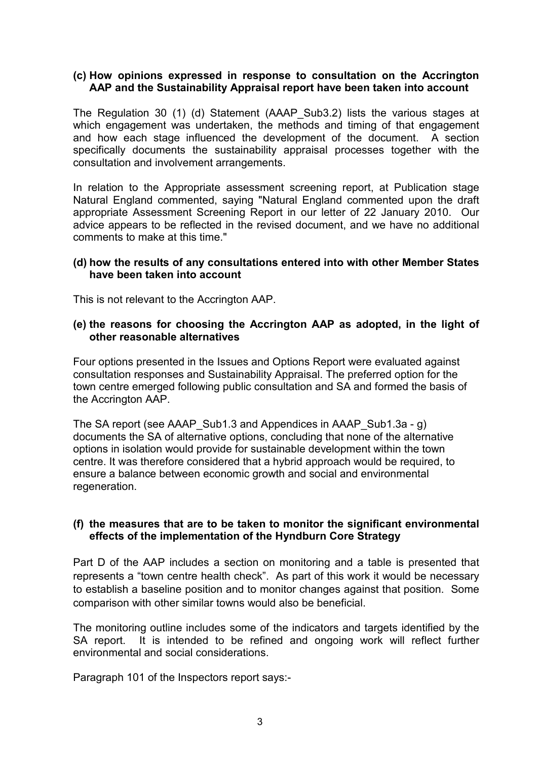#### (c) How opinions expressed in response to consultation on the Accrington AAP and the Sustainability Appraisal report have been taken into account

The Regulation 30 (1) (d) Statement (AAAP\_Sub3.2) lists the various stages at which engagement was undertaken, the methods and timing of that engagement and how each stage influenced the development of the document. A section specifically documents the sustainability appraisal processes together with the consultation and involvement arrangements.

 In relation to the Appropriate assessment screening report, at Publication stage Natural England commented, saying "Natural England commented upon the draft appropriate Assessment Screening Report in our letter of 22 January 2010. Our advice appears to be reflected in the revised document, and we have no additional comments to make at this time."

#### (d) how the results of any consultations entered into with other Member States have been taken into account

This is not relevant to the Accrington AAP.

### (e) the reasons for choosing the Accrington AAP as adopted, in the light of other reasonable alternatives

Four options presented in the Issues and Options Report were evaluated against consultation responses and Sustainability Appraisal. The preferred option for the town centre emerged following public consultation and SA and formed the basis of the Accrington AAP.

The SA report (see AAAP Sub1.3 and Appendices in AAAP Sub1.3a - g) documents the SA of alternative options, concluding that none of the alternative options in isolation would provide for sustainable development within the town centre. It was therefore considered that a hybrid approach would be required, to ensure a balance between economic growth and social and environmental regeneration.

### (f) the measures that are to be taken to monitor the significant environmental effects of the implementation of the Hyndburn Core Strategy

Part D of the AAP includes a section on monitoring and a table is presented that represents a "town centre health check". As part of this work it would be necessary to establish a baseline position and to monitor changes against that position. Some comparison with other similar towns would also be beneficial.

The monitoring outline includes some of the indicators and targets identified by the SA report. It is intended to be refined and ongoing work will reflect further environmental and social considerations.

Paragraph 101 of the Inspectors report says:-